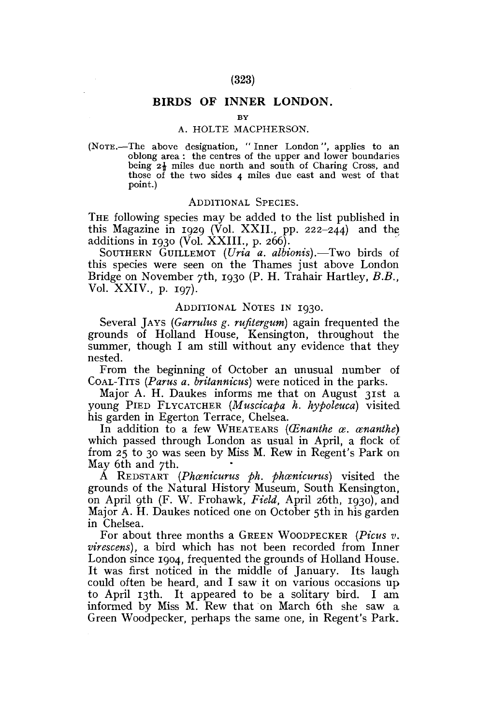# **BIRDS OF INNER LONDON.**

#### **BY**

### A. HOLTE MACPHERSON.

(NOTE.-The above designation, "Inner London", applies to an oblong area : the centres of the upper and lower boundaries being  $2\frac{1}{2}$  miles due north and south of Charing Cross, and those of the two sides 4 miles due east and west of that point.)

# ADDITIONAL SPECIES.

THE following species may be added to the list published in this Magazine in 1929 (Vol. XXII., pp.  $222-244$ ) and the additions in 1930 (Vol.  $\overrightarrow{XXIII}$ , p. 266).

SOUTHERN GUILLEMOT *(Uria a. albionis).*—Two birds of this species were seen on the Thames just above London Bridge on November 7th, 1930 (P. H. Trahair Hartley, *B.B.,*  Vol. XXIV., p. 197).

# ADDITIONAL NOTES IN 1930.

Several JAYS *(Garrulus g. rufitergum)* again frequented the grounds of Holland House, Kensington, throughout the summer, though I am still without any evidence that they nested.

From the beginning of October an unusual number of COAL-TITS *(Parus a. britannicus)* were noticed in the parks.

Major A. H. Daukes informs me that on August 31st a young PIED FLYCATCHER *(Muscicapa h. hypoleuca)* visited his garden in Egerton Terrace, Chelsea.

In addition to a few WHEATEARS (*Cenanthe a. ananthe*) which passed through London as usual in April, a flock of from 25 to 30 was seen by Miss M. Rew in Regent's Park on May 6th and 7th.

A REDSTART *(Phcenicurus ph. phcenicurus)* visited the grounds of the Natural History Museum, South Kensington, on April 9th (F. W. Frohawk, *Field,* April 26th, 1930), and Major A. H. Daukes noticed one on October 5th in his garden in Chelsea.

For about three months a GREEN WOODPECKER *(Picus v. virescens),* a bird which has not been recorded from Inner London since 1904, frequented the grounds of Holland House. It was first noticed in the middle of January. Its laugh could often be heard, and I saw it on various occasions up to April 13th. It appeared to be a solitary bird. I am informed by Miss M. Rew that on March 6th she saw a Green Woodpecker, perhaps the same one, in Regent's Park.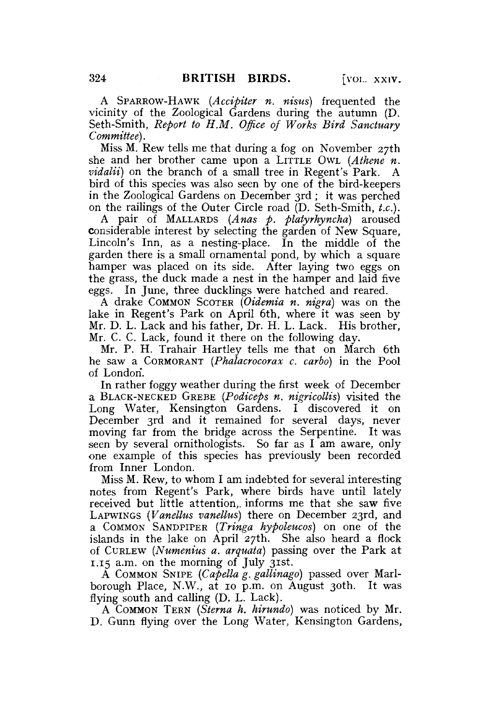A SPARROW-HAWK *(Accipiter n. nisus)* frequented the vicinity of the Zoological Gardens during the autumn (D. Seth-Smith, *Report to H.M, Office of Works Bird Sanctuary Committee).* 

Miss M. Rew tells me that during a fog on November 27th she and her brother came upon a LITTLE OWL *{Athene n. vidalii)* on the branch of a small tree in Regent's Park. A bird of this species was also seen by one of the bird-keepers in the Zoological Gardens on December 3rd ; it was perched on the railings of the Outer Circle road (D. Seth-Smith, *t.c).* 

A pair of MALLARDS *(Anas p. platyrhyncha)* aroused considerable interest by selecting the garden of New Square, Lincoln's Inn, as a nesting-place. In the middle of the garden there is a small ornamental pond, by which a square hamper was placed on its side. After laying two eggs on the grass, the duck made a nest in the hamper and laid five eggs. In June, three ducklings were hatched and reared.

A drake COMMON SCOTER *(Oidemia n. nigra)* was on the lake in Regent's Park on April 6th, where it was seen by Mr. D. L. Lack and his father, Dr. H. L. Lack. His brother, Mr. C. C. Lack, found it there on the following day.

Mr. P. H. Trahair Hartley tells me that on March 6th he saw a CORMORANT *(Phalacrocorax c. carbo)* in the Pool of London.

In rather foggy weather during the first week of December a BLACK-NECKED GREBE *(Podiceps n. nigricottis)* visited the Long Water, Kensington Gardens. I discovered it on December 3rd and it remained for several days, never moving far from the bridge across the Serpentine. It was seen by several ornithologists. So far as I am aware, only one example of this species has previously been recorded from Inner London.

Miss M. Rew, to whom I am indebted for several interesting notes from Regent's Park, where birds have until lately received but little attention, informs me that she saw five LAPWINGS *(Vanellus vanellus)* there on December 23rd, and a COMMON SANDPIPER *(Tringa hypoleucos)* on one of the islands in the lake on April 27th. She also heard a flock of CURLEW *(Numenius a. arquata)* passing over the Park at 1.15 a.m. on the morning of July 31st.

A COMMON SNIPE *(Capella g. gallinago)* passed over Marlborough Place, N.W., at 10 p.m. on August 30th. It was flying south and calling (D. L. Lack).

A COMMON TERN *(Sterna h, hirundo)* was noticed by Mr. D. Gunn flying over the Long Water, Kensington Gardens,